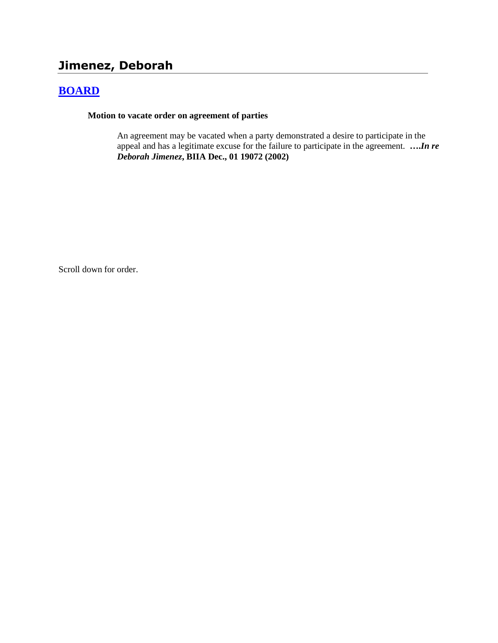# **Jimenez, Deborah**

## **[BOARD](http://www.biia.wa.gov/SDSubjectIndex.html#BOARD)**

**Motion to vacate order on agreement of parties**

An agreement may be vacated when a party demonstrated a desire to participate in the appeal and has a legitimate excuse for the failure to participate in the agreement. **….***In re Deborah Jimenez***, BIIA Dec., 01 19072 (2002)**

Scroll down for order.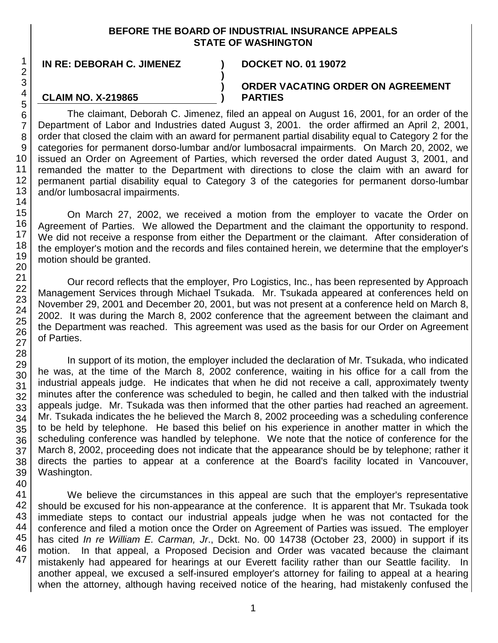#### **BEFORE THE BOARD OF INDUSTRIAL INSURANCE APPEALS STATE OF WASHINGTON**

**) ) )**

**IN RE: DEBORAH C. JIMENEZ ) DOCKET NO. 01 19072**

**CLAIM NO. X-219865**

#### **ORDER VACATING ORDER ON AGREEMENT PARTIES**

The claimant, Deborah C. Jimenez, filed an appeal on August 16, 2001, for an order of the Department of Labor and Industries dated August 3, 2001. the order affirmed an April 2, 2001, order that closed the claim with an award for permanent partial disability equal to Category 2 for the categories for permanent dorso-lumbar and/or lumbosacral impairments. On March 20, 2002, we issued an Order on Agreement of Parties, which reversed the order dated August 3, 2001, and remanded the matter to the Department with directions to close the claim with an award for permanent partial disability equal to Category 3 of the categories for permanent dorso-lumbar and/or lumbosacral impairments.

On March 27, 2002, we received a motion from the employer to vacate the Order on Agreement of Parties. We allowed the Department and the claimant the opportunity to respond. We did not receive a response from either the Department or the claimant. After consideration of the employer's motion and the records and files contained herein, we determine that the employer's motion should be granted.

Our record reflects that the employer, Pro Logistics, Inc., has been represented by Approach Management Services through Michael Tsukada. Mr. Tsukada appeared at conferences held on November 29, 2001 and December 20, 2001, but was not present at a conference held on March 8, 2002. It was during the March 8, 2002 conference that the agreement between the claimant and the Department was reached. This agreement was used as the basis for our Order on Agreement of Parties.

In support of its motion, the employer included the declaration of Mr. Tsukada, who indicated he was, at the time of the March 8, 2002 conference, waiting in his office for a call from the industrial appeals judge. He indicates that when he did not receive a call, approximately twenty minutes after the conference was scheduled to begin, he called and then talked with the industrial appeals judge. Mr. Tsukada was then informed that the other parties had reached an agreement. Mr. Tsukada indicates the he believed the March 8, 2002 proceeding was a scheduling conference to be held by telephone. He based this belief on his experience in another matter in which the scheduling conference was handled by telephone. We note that the notice of conference for the March 8, 2002, proceeding does not indicate that the appearance should be by telephone; rather it directs the parties to appear at a conference at the Board's facility located in Vancouver, Washington.

We believe the circumstances in this appeal are such that the employer's representative should be excused for his non-appearance at the conference. It is apparent that Mr. Tsukada took immediate steps to contact our industrial appeals judge when he was not contacted for the conference and filed a motion once the Order on Agreement of Parties was issued. The employer has cited *In re William E. Carman, Jr*., Dckt. No. 00 14738 (October 23, 2000) in support if its motion. In that appeal, a Proposed Decision and Order was vacated because the claimant mistakenly had appeared for hearings at our Everett facility rather than our Seattle facility. In another appeal, we excused a self-insured employer's attorney for failing to appeal at a hearing when the attorney, although having received notice of the hearing, had mistakenly confused the